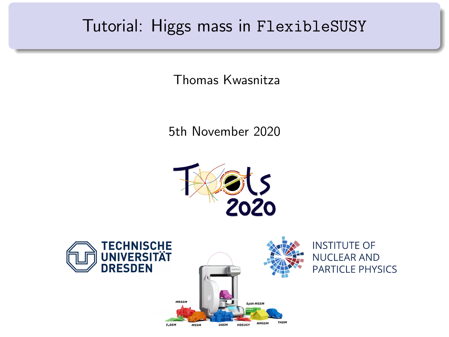#### Tutorial: Higgs mass in FlexibleSUSY

Thomas Kwasnitza

5th November 2020



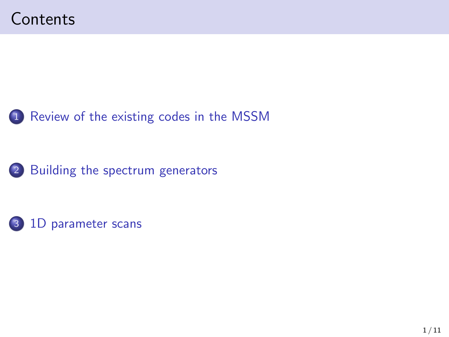



1 [Review of the existing codes in the MSSM](#page-2-0)



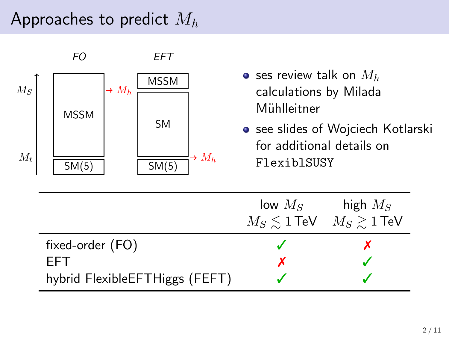### <span id="page-2-0"></span>Approaches to predict  $M_h$

|                | FО                   | EFT                                                                         |                                                                                                                 |                                    |  |
|----------------|----------------------|-----------------------------------------------------------------------------|-----------------------------------------------------------------------------------------------------------------|------------------------------------|--|
| $M_S$<br>$M_t$ | <b>MSSM</b><br>SM(5) | <b>MSSM</b><br>$\rightarrow M_h$<br><b>SM</b><br>$\rightarrow M_h$<br>SM(5) | • ses review talk on $M_h$<br>calculations by Milada<br>Mühlleitner<br>for additional details on<br>FlexiblSUSY | • see slides of Wojciech Kotlarski |  |
|                |                      |                                                                             | low $M_S$<br>$M_S \lesssim 1$ TeV                                                                               | high $M_S$<br>$M_S \gtrsim 1$ TeV  |  |
|                | fixed-order (FO)     |                                                                             |                                                                                                                 |                                    |  |
|                | EFT                  |                                                                             | x                                                                                                               |                                    |  |
|                |                      | hybrid FlexibleEFTHiggs (FEFT)                                              |                                                                                                                 |                                    |  |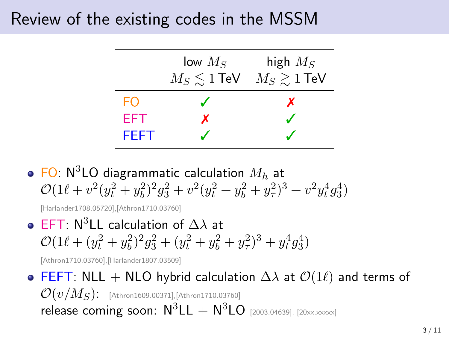### Review of the existing codes in the MSSM

|       | low $M_S$ | high $M_S$                               |
|-------|-----------|------------------------------------------|
|       |           | $M_S \lesssim 1$ TeV $M_S \gtrsim 1$ TeV |
| FΟ    |           | x                                        |
| EFT.  | x         |                                          |
| FEE'L |           |                                          |

• FO:  $N^3$ LO diagrammatic calculation  $M_h$  at  $\mathcal{O}(1\ell + v^2(y_t^2 + y_b^2)^2 g_3^2 + v^2(y_t^2 + y_b^2 + y_\tau^2)^3 + v^2 y_t^4 g_3^4)$ 

[Harlander1708.05720],[Athron1710.03760]

• EFT:  $N^3$ LL calculation of  $\Delta\lambda$  at  $\mathcal{O}(1\ell + (y_t^2 + y_b^2)^2 g_3^2 + (y_t^2 + y_b^2 + y_\tau^2)^3 + y_t^4 g_3^4)$ 

[Athron1710.03760],[Harlander1807.03509]

**• FEFT:** NLL + NLO hybrid calculation  $\Delta\lambda$  at  $\mathcal{O}(1\ell)$  and terms of  $\mathcal{O}(v/M_S)$ : [Athron1609.00371],[Athron1710.03760] release coming soon:  $N^3LL + N^3LO$  [2003.04639], [20xx.xxxxx]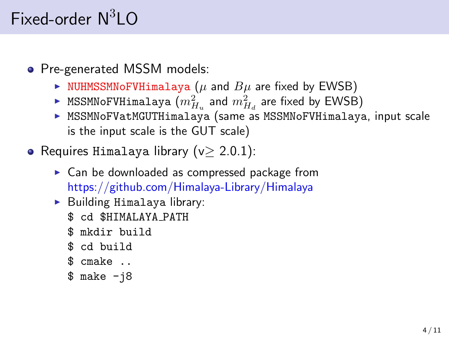## <span id="page-4-0"></span>Fixed-order  $N^3LO$

• Pre-generated MSSM models:

- $\triangleright$  NUHMSSMNoFVHimalaya ( $\mu$  and  $B\mu$  are fixed by EWSB)
- $\blacktriangleright$  MSSMNoFVHimalaya  $(m_{H_u}^2$  and  $m_{H_d}^2$  are fixed by EWSB)
- $\triangleright$  MSSMNoFVatMGUTHimalaya (same as MSSMNoFVHimalaya, input scale is the input scale is the GUT scale)
- Requires Himalaya library  $(v > 2.0.1)$ :
	- $\triangleright$  Can be downloaded as compressed package from <https://github.com/Himalaya-Library/Himalaya>
	- $\blacktriangleright$  Building Himalaya library:
		- \$ cd \$HIMALAYA PATH
		- \$ mkdir build
		- \$ cd build
		- \$ cmake ..
		- $$$  make  $-i8$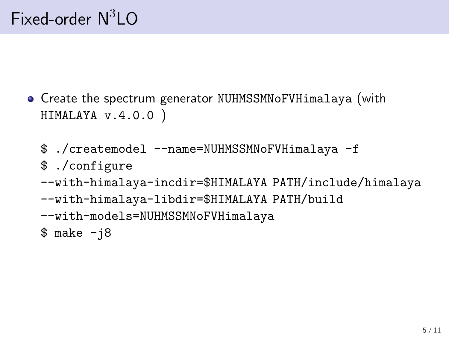- Create the spectrum generator NUHMSSMNoFVHimalaya (with HIMALAYA v.4.0.0 )
	- \$ ./createmodel --name=NUHMSSMNoFVHimalaya -f
	- \$ ./configure
	- --with-himalaya-incdir=\$HIMALAYA PATH/include/himalaya
	- --with-himalaya-libdir=\$HIMALAYA PATH/build
	- --with-models=NUHMSSMNoFVHimalaya
	- $$ make -j8$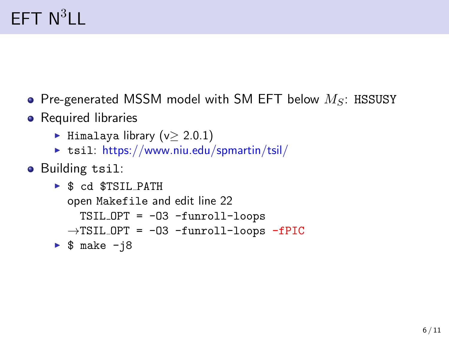# $EFT N^3LL$

- Pre-generated MSSM model with SM EFT below  $M_S$ : HSSUSY
- Required libraries
	- $\blacktriangleright$  Himalaya library (v> 2.0.1)
	- $\triangleright$  tsil: <https://www.niu.edu/spmartin/tsil/>
- Building tsil:

```
\triangleright $ cd $TSIL_PATH
  open Makefile and edit line 22
     TSIL OPT = -O3 -funroll-loops
  \rightarrowTSIL OPT = -03 -funroll-loops -fPIC
\triangleright $ make -i8
```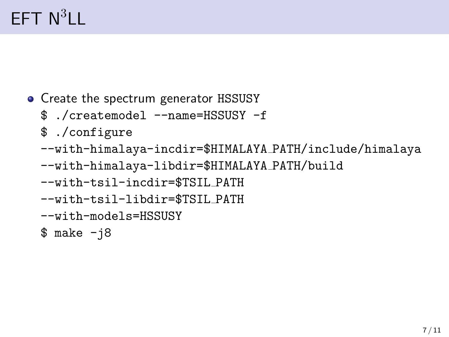# $EFT N^3LL$

- Create the spectrum generator HSSUSY
	- \$ ./createmodel --name=HSSUSY -f
	- \$ ./configure
	- --with-himalaya-incdir=\$HIMALAYA PATH/include/himalaya
	- --with-himalaya-libdir=\$HIMALAYA PATH/build
	- --with-tsil-incdir=\$TSIL PATH
	- --with-tsil-libdir=\$TSIL PATH
	- --with-models=HSSUSY
	- $$ make -j8$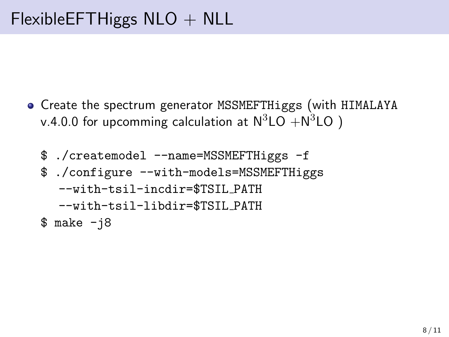- Create the spectrum generator MSSMEFTHiggs (with HIMALAYA v.4.0.0 for upcomming calculation at  $\mathsf{N}^3\mathsf{LO}+\mathsf{N}^3\mathsf{LO}$  )
	- \$ ./createmodel --name=MSSMEFTHiggs -f \$ ./configure --with-models=MSSMEFTHiggs --with-tsil-incdir=\$TSIL PATH --with-tsil-libdir=\$TSIL PATH
	- $$ make -j8$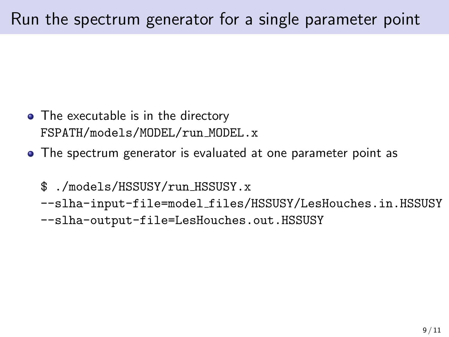- <span id="page-9-0"></span>• The executable is in the directory FSPATH/models/MODEL/run MODEL.x
- The spectrum generator is evaluated at one parameter point as
	- \$ ./models/HSSUSY/run HSSUSY.x
	- --slha-input-file=model files/HSSUSY/LesHouches.in.HSSUSY
	- --slha-output-file=LesHouches.out.HSSUSY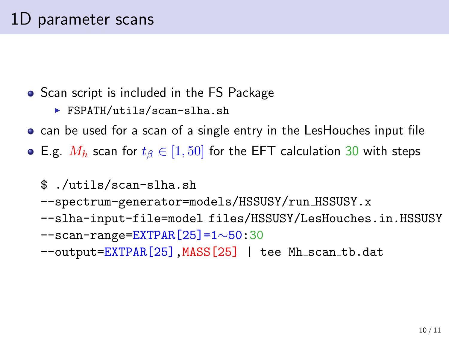- Scan script is included in the FS Package
	- $\triangleright$  FSPATH/utils/scan-slha.sh
- can be used for a scan of a single entry in the LesHouches input file
- E.g.  $M_h$  scan for  $t_\beta \in [1, 50]$  for the EFT calculation 30 with steps
	- \$ ./utils/scan-slha.sh
	- --spectrum-generator=models/HSSUSY/run HSSUSY.x
	- --slha-input-file=model files/HSSUSY/LesHouches.in.HSSUSY --scan-range=EXTPAR[25]=1∼50:30
	- --output=EXTPAR[25], MASS[25] | tee Mh\_scan\_tb.dat